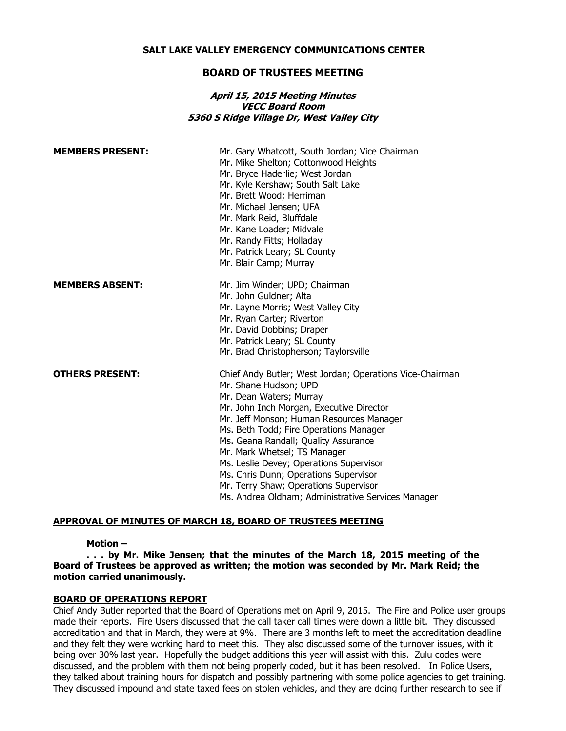#### **SALT LAKE VALLEY EMERGENCY COMMUNICATIONS CENTER**

## **BOARD OF TRUSTEES MEETING**

### **April 15, 2015 Meeting Minutes VECC Board Room 5360 S Ridge Village Dr, West Valley City**

| <b>MEMBERS PRESENT:</b> | Mr. Gary Whatcott, South Jordan; Vice Chairman<br>Mr. Mike Shelton; Cottonwood Heights<br>Mr. Bryce Haderlie; West Jordan<br>Mr. Kyle Kershaw; South Salt Lake<br>Mr. Brett Wood; Herriman<br>Mr. Michael Jensen; UFA<br>Mr. Mark Reid, Bluffdale<br>Mr. Kane Loader; Midvale<br>Mr. Randy Fitts; Holladay<br>Mr. Patrick Leary; SL County<br>Mr. Blair Camp; Murray                                                                                                                                      |
|-------------------------|-----------------------------------------------------------------------------------------------------------------------------------------------------------------------------------------------------------------------------------------------------------------------------------------------------------------------------------------------------------------------------------------------------------------------------------------------------------------------------------------------------------|
| <b>MEMBERS ABSENT:</b>  | Mr. Jim Winder; UPD; Chairman<br>Mr. John Guldner; Alta<br>Mr. Layne Morris; West Valley City<br>Mr. Ryan Carter; Riverton<br>Mr. David Dobbins; Draper<br>Mr. Patrick Leary; SL County<br>Mr. Brad Christopherson; Taylorsville                                                                                                                                                                                                                                                                          |
| <b>OTHERS PRESENT:</b>  | Chief Andy Butler; West Jordan; Operations Vice-Chairman<br>Mr. Shane Hudson; UPD<br>Mr. Dean Waters; Murray<br>Mr. John Inch Morgan, Executive Director<br>Mr. Jeff Monson; Human Resources Manager<br>Ms. Beth Todd; Fire Operations Manager<br>Ms. Geana Randall; Quality Assurance<br>Mr. Mark Whetsel; TS Manager<br>Ms. Leslie Devey; Operations Supervisor<br>Ms. Chris Dunn; Operations Supervisor<br>Mr. Terry Shaw; Operations Supervisor<br>Ms. Andrea Oldham; Administrative Services Manager |

#### **APPROVAL OF MINUTES OF MARCH 18, BOARD OF TRUSTEES MEETING**

#### **Motion –**

**. . . by Mr. Mike Jensen; that the minutes of the March 18, 2015 meeting of the Board of Trustees be approved as written; the motion was seconded by Mr. Mark Reid; the motion carried unanimously.**

#### **BOARD OF OPERATIONS REPORT**

Chief Andy Butler reported that the Board of Operations met on April 9, 2015. The Fire and Police user groups made their reports. Fire Users discussed that the call taker call times were down a little bit. They discussed accreditation and that in March, they were at 9%. There are 3 months left to meet the accreditation deadline and they felt they were working hard to meet this. They also discussed some of the turnover issues, with it being over 30% last year. Hopefully the budget additions this year will assist with this. Zulu codes were discussed, and the problem with them not being properly coded, but it has been resolved. In Police Users, they talked about training hours for dispatch and possibly partnering with some police agencies to get training. They discussed impound and state taxed fees on stolen vehicles, and they are doing further research to see if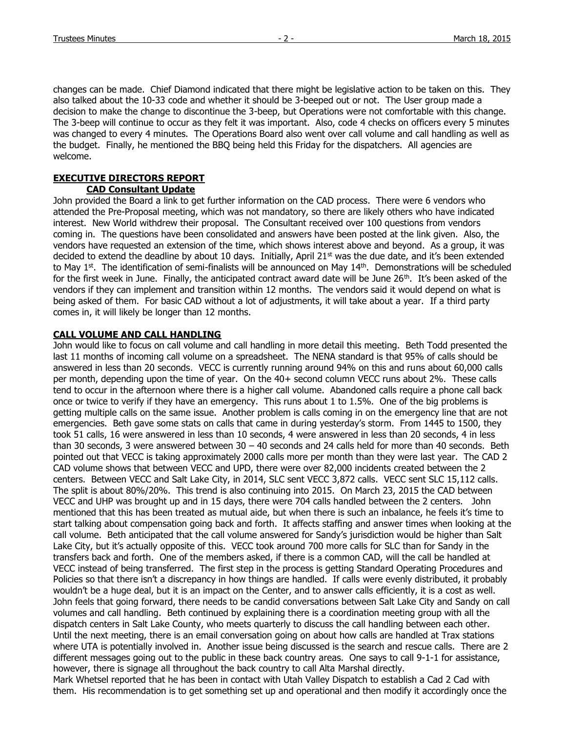changes can be made. Chief Diamond indicated that there might be legislative action to be taken on this. They also talked about the 10-33 code and whether it should be 3-beeped out or not. The User group made a decision to make the change to discontinue the 3-beep, but Operations were not comfortable with this change. The 3-beep will continue to occur as they felt it was important. Also, code 4 checks on officers every 5 minutes was changed to every 4 minutes. The Operations Board also went over call volume and call handling as well as the budget. Finally, he mentioned the BBQ being held this Friday for the dispatchers. All agencies are welcome.

## **EXECUTIVE DIRECTORS REPORT**

## **CAD Consultant Update**

John provided the Board a link to get further information on the CAD process. There were 6 vendors who attended the Pre-Proposal meeting, which was not mandatory, so there are likely others who have indicated interest. New World withdrew their proposal. The Consultant received over 100 questions from vendors coming in. The questions have been consolidated and answers have been posted at the link given. Also, the vendors have requested an extension of the time, which shows interest above and beyond. As a group, it was decided to extend the deadline by about 10 days. Initially, April 21 $st$  was the due date, and it's been extended to May  $1^{st}$ . The identification of semi-finalists will be announced on May  $14^{th}$ . Demonstrations will be scheduled for the first week in June. Finally, the anticipated contract award date will be June 26<sup>th</sup>. It's been asked of the vendors if they can implement and transition within 12 months. The vendors said it would depend on what is being asked of them. For basic CAD without a lot of adjustments, it will take about a year. If a third party comes in, it will likely be longer than 12 months.

## **CALL VOLUME AND CALL HANDLING**

John would like to focus on call volume and call handling in more detail this meeting. Beth Todd presented the last 11 months of incoming call volume on a spreadsheet. The NENA standard is that 95% of calls should be answered in less than 20 seconds. VECC is currently running around 94% on this and runs about 60,000 calls per month, depending upon the time of year. On the 40+ second column VECC runs about 2%. These calls tend to occur in the afternoon where there is a higher call volume. Abandoned calls require a phone call back once or twice to verify if they have an emergency. This runs about 1 to 1.5%. One of the big problems is getting multiple calls on the same issue. Another problem is calls coming in on the emergency line that are not emergencies. Beth gave some stats on calls that came in during yesterday's storm. From 1445 to 1500, they took 51 calls, 16 were answered in less than 10 seconds, 4 were answered in less than 20 seconds, 4 in less than 30 seconds, 3 were answered between 30 – 40 seconds and 24 calls held for more than 40 seconds. Beth pointed out that VECC is taking approximately 2000 calls more per month than they were last year. The CAD 2 CAD volume shows that between VECC and UPD, there were over 82,000 incidents created between the 2 centers. Between VECC and Salt Lake City, in 2014, SLC sent VECC 3,872 calls. VECC sent SLC 15,112 calls. The split is about 80%/20%. This trend is also continuing into 2015. On March 23, 2015 the CAD between VECC and UHP was brought up and in 15 days, there were 704 calls handled between the 2 centers. John mentioned that this has been treated as mutual aide, but when there is such an inbalance, he feels it's time to start talking about compensation going back and forth. It affects staffing and answer times when looking at the call volume. Beth anticipated that the call volume answered for Sandy's jurisdiction would be higher than Salt Lake City, but it's actually opposite of this. VECC took around 700 more calls for SLC than for Sandy in the transfers back and forth. One of the members asked, if there is a common CAD, will the call be handled at VECC instead of being transferred. The first step in the process is getting Standard Operating Procedures and Policies so that there isn't a discrepancy in how things are handled. If calls were evenly distributed, it probably wouldn't be a huge deal, but it is an impact on the Center, and to answer calls efficiently, it is a cost as well. John feels that going forward, there needs to be candid conversations between Salt Lake City and Sandy on call volumes and call handling. Beth continued by explaining there is a coordination meeting group with all the dispatch centers in Salt Lake County, who meets quarterly to discuss the call handling between each other. Until the next meeting, there is an email conversation going on about how calls are handled at Trax stations where UTA is potentially involved in. Another issue being discussed is the search and rescue calls. There are 2 different messages going out to the public in these back country areas. One says to call 9-1-1 for assistance, however, there is signage all throughout the back country to call Alta Marshal directly. Mark Whetsel reported that he has been in contact with Utah Valley Dispatch to establish a Cad 2 Cad with them. His recommendation is to get something set up and operational and then modify it accordingly once the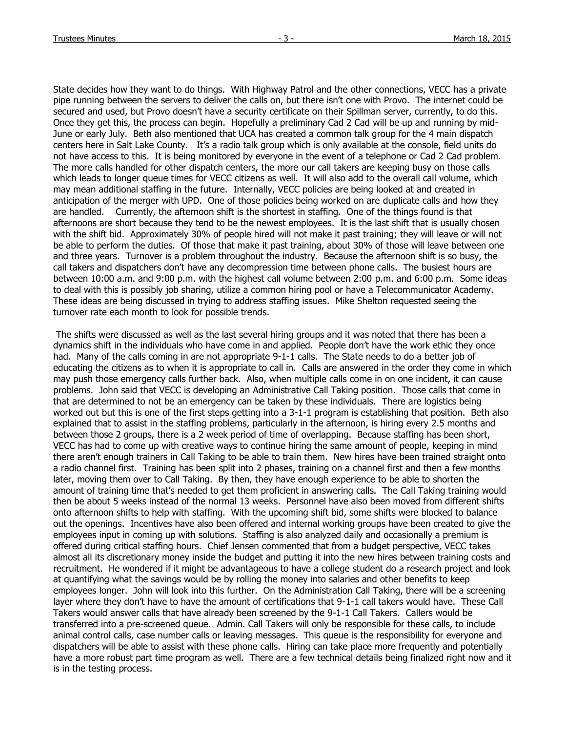State decides how they want to do things. With Highway Patrol and the other connections, VECC has a private pipe running between the servers to deliver the calls on, but there isn't one with Provo. The internet could be secured and used, but Provo doesn't have a security certificate on their Spillman server, currently, to do this. Once they get this, the process can begin. Hopefully a preliminary Cad 2 Cad will be up and running by mid-June or early July. Beth also mentioned that UCA has created a common talk group for the 4 main dispatch centers here in Salt Lake County. It's a radio talk group which is only available at the console, field units do not have access to this. It is being monitored by everyone in the event of a telephone or Cad 2 Cad problem. The more calls handled for other dispatch centers, the more our call takers are keeping busy on those calls which leads to longer queue times for VECC citizens as well. It will also add to the overall call volume, which may mean additional staffing in the future. Internally, VECC policies are being looked at and created in anticipation of the merger with UPD. One of those policies being worked on are duplicate calls and how they are handled. Currently, the afternoon shift is the shortest in staffing. One of the things found is that afternoons are short because they tend to be the newest employees. It is the last shift that is usually chosen with the shift bid. Approximately 30% of people hired will not make it past training; they will leave or will not be able to perform the duties. Of those that make it past training, about 30% of those will leave between one and three years. Turnover is a problem throughout the industry. Because the afternoon shift is so busy, the call takers and dispatchers don't have any decompression time between phone calls. The busiest hours are between 10:00 a.m. and 9:00 p.m. with the highest call volume between 2:00 p.m. and 6:00 p.m. Some ideas to deal with this is possibly job sharing, utilize a common hiring pool or have a Telecommunicator Academy. These ideas are being discussed in trying to address staffing issues. Mike Shelton requested seeing the turnover rate each month to look for possible trends.

The shifts were discussed as well as the last several hiring groups and it was noted that there has been a dynamics shift in the individuals who have come in and applied. People don't have the work ethic they once had. Many of the calls coming in are not appropriate 9-1-1 calls. The State needs to do a better job of educating the citizens as to when it is appropriate to call in. Calls are answered in the order they come in which may push those emergency calls further back. Also, when multiple calls come in on one incident, it can cause problems. John said that VECC is developing an Administrative Call Taking position. Those calls that come in that are determined to not be an emergency can be taken by these individuals. There are logistics being worked out but this is one of the first steps getting into a 3-1-1 program is establishing that position. Beth also explained that to assist in the staffing problems, particularly in the afternoon, is hiring every 2.5 months and between those 2 groups, there is a 2 week period of time of overlapping. Because staffing has been short, VECC has had to come up with creative ways to continue hiring the same amount of people, keeping in mind there aren't enough trainers in Call Taking to be able to train them. New hires have been trained straight onto a radio channel first. Training has been split into 2 phases, training on a channel first and then a few months later, moving them over to Call Taking. By then, they have enough experience to be able to shorten the amount of training time that's needed to get them proficient in answering calls. The Call Taking training would then be about 5 weeks instead of the normal 13 weeks. Personnel have also been moved from different shifts onto afternoon shifts to help with staffing. With the upcoming shift bid, some shifts were blocked to balance out the openings. Incentives have also been offered and internal working groups have been created to give the employees input in coming up with solutions. Staffing is also analyzed daily and occasionally a premium is offered during critical staffing hours. Chief Jensen commented that from a budget perspective, VECC takes almost all its discretionary money inside the budget and putting it into the new hires between training costs and recruitment. He wondered if it might be advantageous to have a college student do a research project and look at quantifying what the savings would be by rolling the money into salaries and other benefits to keep employees longer. John will look into this further. On the Administration Call Taking, there will be a screening layer where they don't have to have the amount of certifications that 9-1-1 call takers would have. These Call Takers would answer calls that have already been screened by the 9-1-1 Call Takers. Callers would be transferred into a pre-screened queue. Admin. Call Takers will only be responsible for these calls, to include animal control calls, case number calls or leaving messages. This queue is the responsibility for everyone and dispatchers will be able to assist with these phone calls. Hiring can take place more frequently and potentially have a more robust part time program as well. There are a few technical details being finalized right now and it is in the testing process.